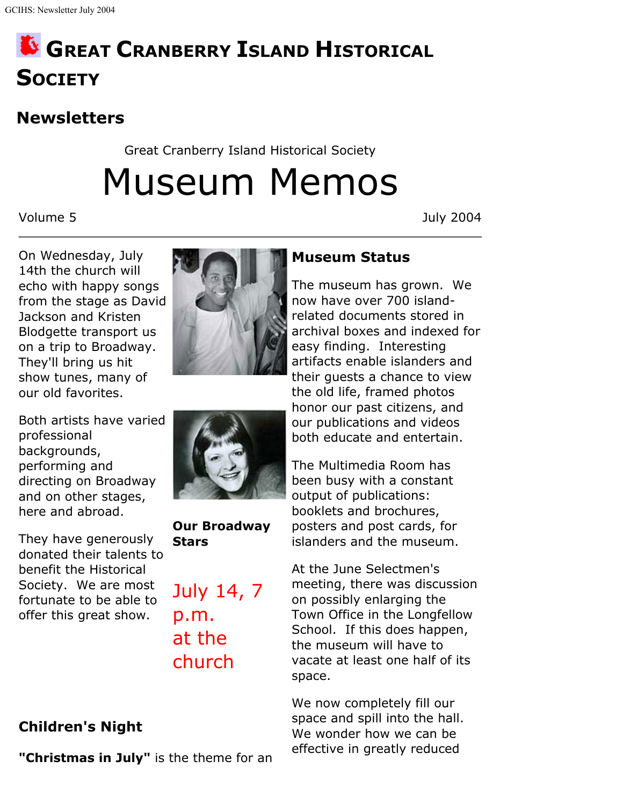# **GREAT CRANBERRY ISLAND HISTORICAL SOCIETY**

## **Newsletters**

Great Cranberry Island Historical Society

Museum Memos

Volume 5 July 2004

On Wednesday, July 14th the church will echo with happy songs from the stage as David Jackson and Kristen Blodgette transport us on a trip to Broadway. They'll bring us hit show tunes, many of our old favorites.

Both artists have varied professional backgrounds, performing and directing on Broadway and on other stages, here and abroad.

They have generously donated their talents to benefit the Historical Society. We are most fortunate to be able to offer this great show.





**Our Broadway Stars**

July 14, 7 p.m. at the church

### **Children's Night**

**"Christmas in July"** is the theme for an

#### **Museum Status**

The museum has grown. We now have over 700 islandrelated documents stored in archival boxes and indexed for easy finding. Interesting artifacts enable islanders and their guests a chance to view the old life, framed photos honor our past citizens, and our publications and videos both educate and entertain.

The Multimedia Room has been busy with a constant output of publications: booklets and brochures, posters and post cards, for islanders and the museum.

At the June Selectmen's meeting, there was discussion on possibly enlarging the Town Office in the Longfellow School. If this does happen, the museum will have to vacate at least one half of its space.

We now completely fill our space and spill into the hall. We wonder how we can be effective in greatly reduced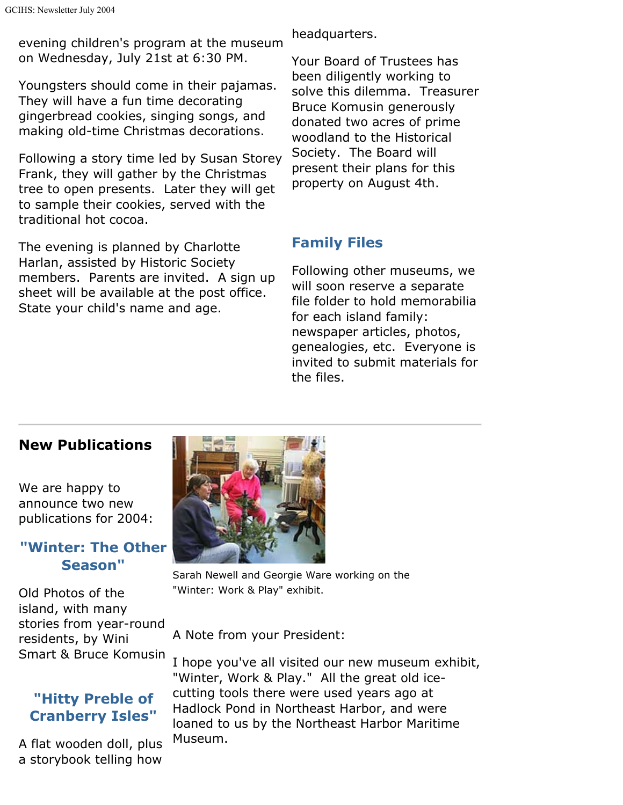evening children's program at the museum on Wednesday, July 21st at 6:30 PM.

Youngsters should come in their pajamas. They will have a fun time decorating gingerbread cookies, singing songs, and making old-time Christmas decorations.

Following a story time led by Susan Storey Frank, they will gather by the Christmas tree to open presents. Later they will get to sample their cookies, served with the traditional hot cocoa.

The evening is planned by Charlotte Harlan, assisted by Historic Society members. Parents are invited. A sign up sheet will be available at the post office. State your child's name and age.

headquarters.

Your Board of Trustees has been diligently working to solve this dilemma. Treasurer Bruce Komusin generously donated two acres of prime woodland to the Historical Society. The Board will present their plans for this property on August 4th.

#### **Family Files**

Following other museums, we will soon reserve a separate file folder to hold memorabilia for each island family: newspaper articles, photos, genealogies, etc. Everyone is invited to submit materials for the files.

#### **New Publications**

We are happy to announce two new publications for 2004:

#### **"Winter: The Other Season"**

Old Photos of the island, with many stories from year-round residents, by Wini Smart & Bruce Komusin

#### **"Hitty Preble of Cranberry Isles"**

A flat wooden doll, plus a storybook telling how



Sarah Newell and Georgie Ware working on the "Winter: Work & Play" exhibit.

A Note from your President:

I hope you've all visited our new museum exhibit, "Winter, Work & Play." All the great old icecutting tools there were used years ago at Hadlock Pond in Northeast Harbor, and were loaned to us by the Northeast Harbor Maritime Museum.